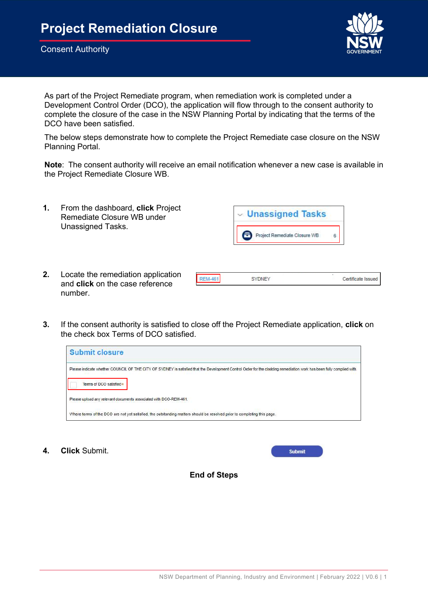

As part of the Project Remediate program, when remediation work is completed under a Development Control Order (DCO), the application will flow through to the consent authority to complete the closure of the case in the NSW Planning Portal by indicating that the terms of the DCO have been satisfied.

The below steps demonstrate how to complete the Project Remediate case closure on the NSW Planning Portal.

Note: The consent authority will receive an email notification whenever a new case is available in the Project Remediate Closure WB.



2. Locate the remediation application and click on the case reference number.



3. If the consent authority is satisfied to close off the Project Remediate application, click on the check box Terms of DCO satisfied.



4. Click Submit.

**Submit** 

End of Steps